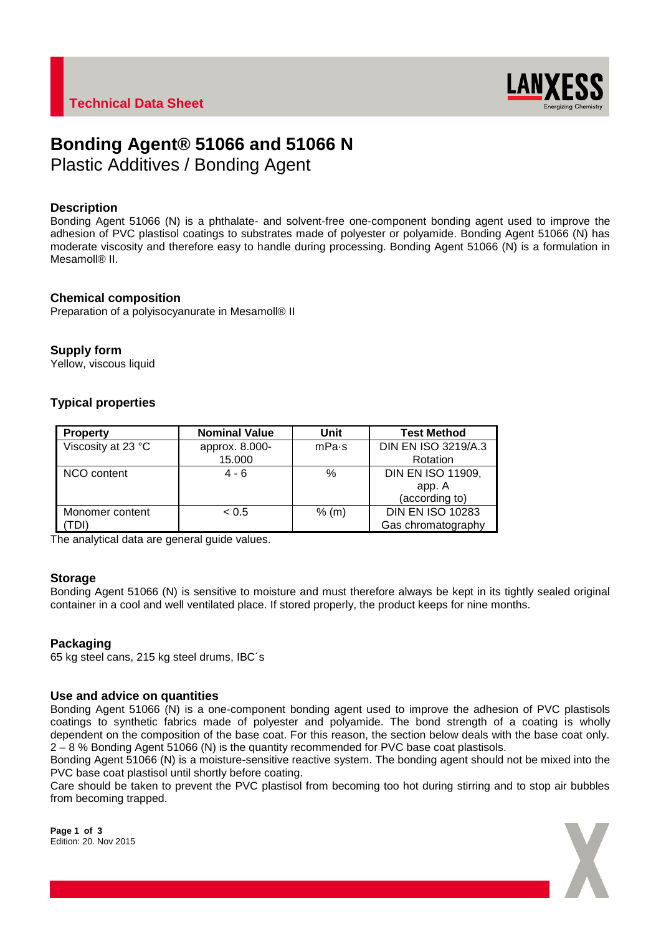

# **Bonding Agent® 51066 and 51066 N**

Plastic Additives / Bonding Agent

# **Description**

Bonding Agent 51066 (N) is a phthalate- and solvent-free one-component bonding agent used to improve the adhesion of PVC plastisol coatings to substrates made of polyester or polyamide. Bonding Agent 51066 (N) has moderate viscosity and therefore easy to handle during processing. Bonding Agent 51066 (N) is a formulation in Mesamoll® II.

# **Chemical composition**

Preparation of a polyisocyanurate in Mesamoll® II

# **Supply form**

Yellow, viscous liquid

# **Typical properties**

| <b>Property</b>    | <b>Nominal Value</b> | Unit    | <b>Test Method</b>       |
|--------------------|----------------------|---------|--------------------------|
| Viscosity at 23 °C | approx. 8.000-       | mPa·s   | DIN EN ISO 3219/A.3      |
|                    | 15.000               |         | Rotation                 |
| NCO content        | $4 - 6$              | $\%$    | <b>DIN EN ISO 11909,</b> |
|                    |                      |         | app. A                   |
|                    |                      |         | (according to)           |
| Monomer content    | < 0.5                | $%$ (m) | <b>DIN EN ISO 10283</b>  |
| TDI)               |                      |         | Gas chromatography       |

The analytical data are general guide values.

# **Storage**

Bonding Agent 51066 (N) is sensitive to moisture and must therefore always be kept in its tightly sealed original container in a cool and well ventilated place. If stored properly, the product keeps for nine months.

# **Packaging**

65 kg steel cans, 215 kg steel drums, IBC´s

# **Use and advice on quantities**

Bonding Agent 51066 (N) is a one-component bonding agent used to improve the adhesion of PVC plastisols coatings to synthetic fabrics made of polyester and polyamide. The bond strength of a coating is wholly dependent on the composition of the base coat. For this reason, the section below deals with the base coat only. 2 – 8 % Bonding Agent 51066 (N) is the quantity recommended for PVC base coat plastisols.

Bonding Agent 51066 (N) is a moisture-sensitive reactive system. The bonding agent should not be mixed into the PVC base coat plastisol until shortly before coating.

Care should be taken to prevent the PVC plastisol from becoming too hot during stirring and to stop air bubbles from becoming trapped.

**Page 1 of 3** Edition: 20. Nov 2015

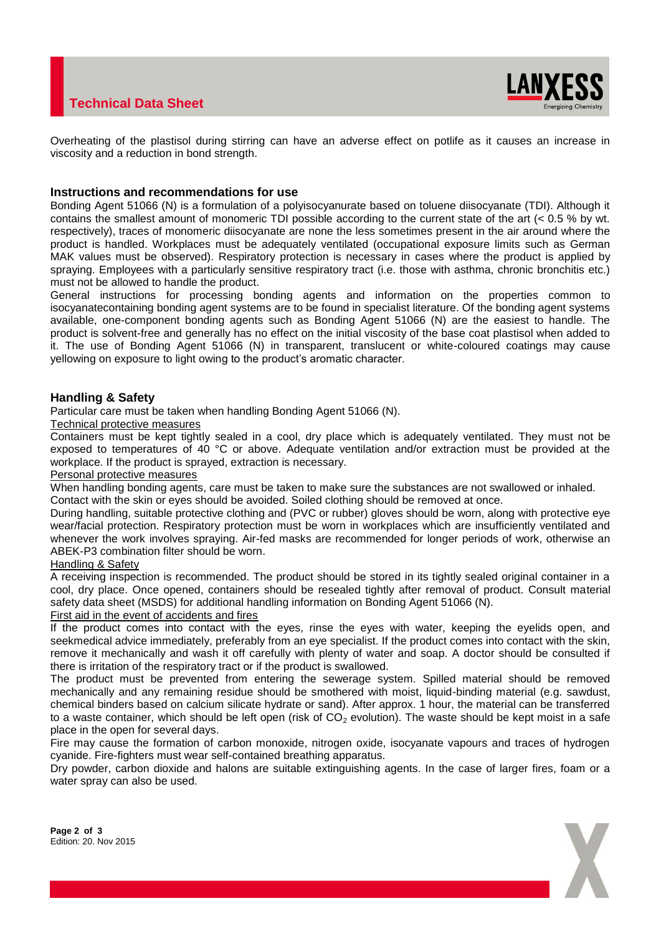# **Technical Data Sheet**



Overheating of the plastisol during stirring can have an adverse effect on potlife as it causes an increase in viscosity and a reduction in bond strength.

### **Instructions and recommendations for use**

Bonding Agent 51066 (N) is a formulation of a polyisocyanurate based on toluene diisocyanate (TDI). Although it contains the smallest amount of monomeric TDI possible according to the current state of the art (< 0.5 % by wt. respectively), traces of monomeric diisocyanate are none the less sometimes present in the air around where the product is handled. Workplaces must be adequately ventilated (occupational exposure limits such as German MAK values must be observed). Respiratory protection is necessary in cases where the product is applied by spraying. Employees with a particularly sensitive respiratory tract (i.e. those with asthma, chronic bronchitis etc.) must not be allowed to handle the product.

General instructions for processing bonding agents and information on the properties common to isocyanatecontaining bonding agent systems are to be found in specialist literature. Of the bonding agent systems available, one-component bonding agents such as Bonding Agent 51066 (N) are the easiest to handle. The product is solvent-free and generally has no effect on the initial viscosity of the base coat plastisol when added to it. The use of Bonding Agent 51066 (N) in transparent, translucent or white-coloured coatings may cause yellowing on exposure to light owing to the product's aromatic character.

# **Handling & Safety**

Particular care must be taken when handling Bonding Agent 51066 (N).

#### Technical protective measures

Containers must be kept tightly sealed in a cool, dry place which is adequately ventilated. They must not be exposed to temperatures of 40 °C or above. Adequate ventilation and/or extraction must be provided at the workplace. If the product is sprayed, extraction is necessary.

#### Personal protective measures

When handling bonding agents, care must be taken to make sure the substances are not swallowed or inhaled. Contact with the skin or eyes should be avoided. Soiled clothing should be removed at once.

During handling, suitable protective clothing and (PVC or rubber) gloves should be worn, along with protective eye wear/facial protection. Respiratory protection must be worn in workplaces which are insufficiently ventilated and whenever the work involves spraying. Air-fed masks are recommended for longer periods of work, otherwise an ABEK-P3 combination filter should be worn.

#### Handling & Safety

A receiving inspection is recommended. The product should be stored in its tightly sealed original container in a cool, dry place. Once opened, containers should be resealed tightly after removal of product. Consult material safety data sheet (MSDS) for additional handling information on Bonding Agent 51066 (N).

# First aid in the event of accidents and fires

If the product comes into contact with the eyes, rinse the eyes with water, keeping the eyelids open, and seekmedical advice immediately, preferably from an eye specialist. If the product comes into contact with the skin, remove it mechanically and wash it off carefully with plenty of water and soap. A doctor should be consulted if there is irritation of the respiratory tract or if the product is swallowed.

The product must be prevented from entering the sewerage system. Spilled material should be removed mechanically and any remaining residue should be smothered with moist, liquid-binding material (e.g. sawdust, chemical binders based on calcium silicate hydrate or sand). After approx. 1 hour, the material can be transferred to a waste container, which should be left open (risk of  $CO<sub>2</sub>$  evolution). The waste should be kept moist in a safe place in the open for several days.

Fire may cause the formation of carbon monoxide, nitrogen oxide, isocyanate vapours and traces of hydrogen cyanide. Fire-fighters must wear self-contained breathing apparatus.

Dry powder, carbon dioxide and halons are suitable extinguishing agents. In the case of larger fires, foam or a water spray can also be used.